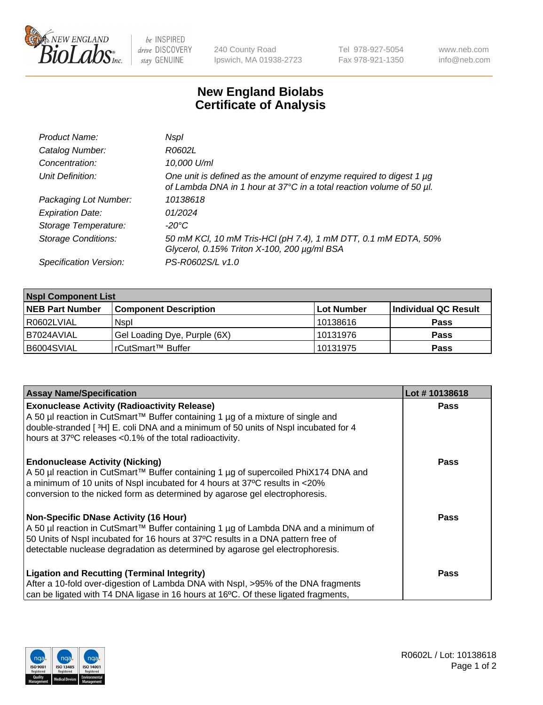

be INSPIRED drive DISCOVERY stay GENUINE

240 County Road Ipswich, MA 01938-2723 Tel 978-927-5054 Fax 978-921-1350 www.neb.com info@neb.com

## **New England Biolabs Certificate of Analysis**

| Product Name:              | Nspl                                                                                                                                        |
|----------------------------|---------------------------------------------------------------------------------------------------------------------------------------------|
| Catalog Number:            | R0602L                                                                                                                                      |
| Concentration:             | 10,000 U/ml                                                                                                                                 |
| Unit Definition:           | One unit is defined as the amount of enzyme required to digest 1 µg<br>of Lambda DNA in 1 hour at 37°C in a total reaction volume of 50 µl. |
| Packaging Lot Number:      | 10138618                                                                                                                                    |
| <b>Expiration Date:</b>    | 01/2024                                                                                                                                     |
| Storage Temperature:       | -20°C                                                                                                                                       |
| <b>Storage Conditions:</b> | 50 mM KCl, 10 mM Tris-HCl (pH 7.4), 1 mM DTT, 0.1 mM EDTA, 50%<br>Glycerol, 0.15% Triton X-100, 200 µg/ml BSA                               |
| Specification Version:     | PS-R0602S/L v1.0                                                                                                                            |

| <b>Nspl Component List</b> |                              |            |                      |  |  |
|----------------------------|------------------------------|------------|----------------------|--|--|
| <b>NEB Part Number</b>     | <b>Component Description</b> | Lot Number | Individual QC Result |  |  |
| R0602LVIAL                 | <b>Nspl</b>                  | 10138616   | <b>Pass</b>          |  |  |
| I B7024AVIAL               | Gel Loading Dye, Purple (6X) | 10131976   | Pass                 |  |  |
| B6004SVIAL                 | l rCutSmart™ Buffer          | 10131975   | <b>Pass</b>          |  |  |

| <b>Assay Name/Specification</b>                                                                                                                                                                                                                                                             | Lot #10138618 |
|---------------------------------------------------------------------------------------------------------------------------------------------------------------------------------------------------------------------------------------------------------------------------------------------|---------------|
| <b>Exonuclease Activity (Radioactivity Release)</b><br>A 50 µl reaction in CutSmart™ Buffer containing 1 µg of a mixture of single and                                                                                                                                                      | <b>Pass</b>   |
| double-stranded [3H] E. coli DNA and a minimum of 50 units of Nspl incubated for 4<br>hours at 37°C releases <0.1% of the total radioactivity.                                                                                                                                              |               |
|                                                                                                                                                                                                                                                                                             |               |
| <b>Endonuclease Activity (Nicking)</b><br>A 50 µl reaction in CutSmart™ Buffer containing 1 µg of supercoiled PhiX174 DNA and<br>a minimum of 10 units of Nspl incubated for 4 hours at 37°C results in <20%<br>conversion to the nicked form as determined by agarose gel electrophoresis. | <b>Pass</b>   |
| Non-Specific DNase Activity (16 Hour)<br>A 50 µl reaction in CutSmart™ Buffer containing 1 µg of Lambda DNA and a minimum of<br>50 Units of Nspl incubated for 16 hours at 37°C results in a DNA pattern free of                                                                            | Pass          |
| detectable nuclease degradation as determined by agarose gel electrophoresis.<br><b>Ligation and Recutting (Terminal Integrity)</b>                                                                                                                                                         | Pass          |
| After a 10-fold over-digestion of Lambda DNA with Nspl, >95% of the DNA fragments<br>can be ligated with T4 DNA ligase in 16 hours at 16°C. Of these ligated fragments,                                                                                                                     |               |